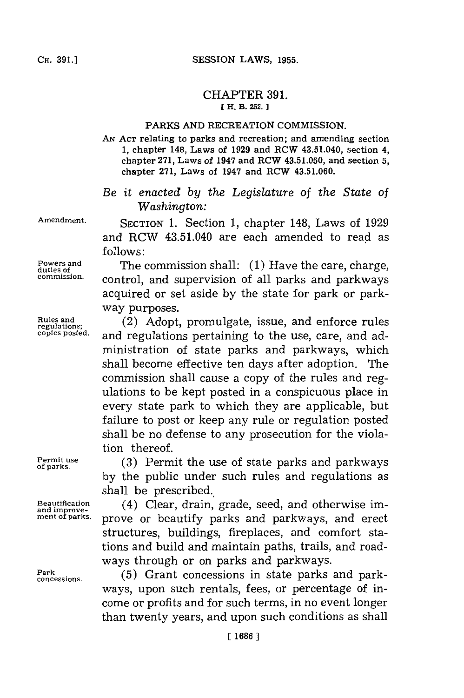## SESSION LAWS, 1955.

## CHAPTER **391. [** H. **B. 252.**

## **PARKS AND RECREATION COMMISSION.**

**AN ACT** relating to parks and recreation; and amending section **1,** chapter 148, Laws of **1929** and RCW 43.51.040, section 4, chapter **271,** Laws of 1947 and RCW **43.51.050,** and section **5,** chapter **271, Laws** of 1947 and RCW **43.51.060.**

## *Be it enacted by the Legislature of the State of Washington:*

**Amendment.** SECTION **1.** Section **1,** chapter 148, Laws of **1929** and RCW 43.51.040 are each amended to read as **follows:**

**Powers and** The commission shall: **(1)** Have the care, charge, **duties of** control, and supervision of all parks and parkways acquired or set aside **by** the state for park or parkway purposes.

Rules and<br>regulations; (2) Adopt, promulgate, issue, and enforce rules<br>copies posted. and requlations pertaining to the use care, and ad and regulations pertaining to the use, care, and administration of state parks and parkways, which shall become effective ten days after adoption. The commission shall cause a copy of the rules and regulations to be kept posted in a conspicuous place in every state park to which they are applicable, but failure to post or keep any rule or regulation posted shall be no defense to any prosecution for the violation thereof.

Permit use **(3)** Permit the use of state parks and parkways **by** the public under such rules and regulations as shall be prescribed.

Beautification **(4) Clear, drain, grade, seed, and otherwise imaging or beautify parks** and **parkways** and **erect ment of parks,** prove or beautify parks and parkways, and erect structures, buildings, fireplaces, and comfort stations and build and maintain paths, trails, and roadways through or on parks and parkways.

Park concessions. (5) Grant concessions in state parks and parkways, upon such rentals, fees, or percentage of income or profits and for such terms, in no event longer than twenty years, and upon such conditions as shall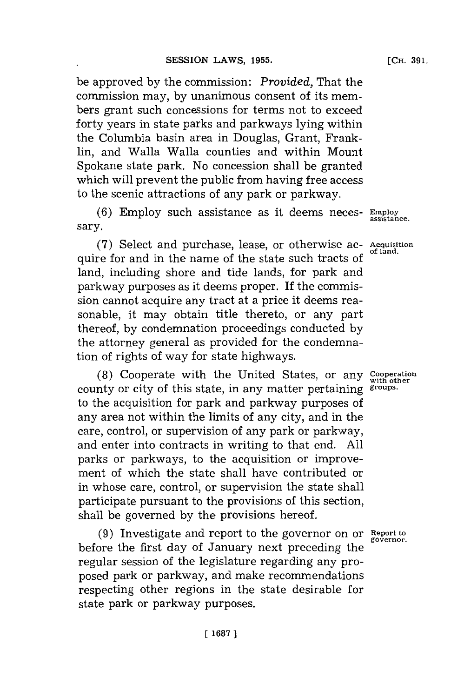be approved **by** the commission: *Provided,* That the commission may, **by** unanimous consent of its members grant such concessions for terms not to exceed forty years in state parks and parkways lying within the Columbia basin area in Douglas, Grant, Franklin, and Walla Walla counties and within Mount Spokane state park. No concession shall be granted which will prevent the public from having free access to the scenic attractions of any park or parkway.

**(6)** Employ such assistance as it deems neces- **Emrploy** sary.

**(7)** Select and purchase, lease, or otherwise ac- **Acquisition** quire for and in the name of the state such tracts of land, including shore and tide lands, for park and parkway purposes as it deems proper. **If** the commission cannot acquire any tract at a price it deems reasonable, it may obtain title thereto, or any part thereof, **by** condemnation proceedings conducted **by** the attorney general as provided for the condemnation of rights of way for state highways.

**(8)** Cooperate with the United States, or any **Cooperation** county or city of this state, in any matter pertaining **groups.** to the acquisition for park and parkway purposes of any area not within the limits of any city, and in the care, control, or supervision of any park or parkway, and enter into contracts in writing to that end. **All** parks or parkways, to the acquisition or improvement of which the state shall have contributed or in whose care, control, or supervision the state shall participate pursuant to the provisions of this section, shall be governed **by** the provisions hereof.

**(9)** Investigate and report to the governor on or **Report to governor.** before the first day of January next preceding the regular session of the legislature regarding any proposed park or parkway, and make recommendations respecting other regions in the state desirable for state park or parkway purposes.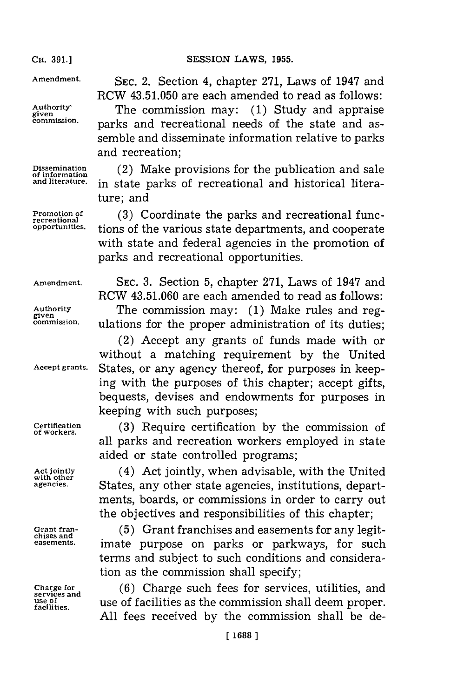**CH. 391.]**

Cis. **91.]SESSION** LAWS, **1955.**

**Amendment.** SEC. 2. Section 4, chapter **271,** Laws of 1947 and RCW **43.51.050** are each amended to read as follows:

Authority<br>given The commission may: (1) Study and appraise<br>commission. papirs and recreational poods of the state and as parks and recreational needs of the state and assemble and disseminate information relative to parks and recreation;

Dissemination **(2)** Make provisions for the publication and sale of information  $\sum_{i=1}^{n}$  and literature. in state parks of recreational and historical literature; and

Promotion of (3) Coordinate the parks and recreational func-<br>recreational particles.<br>opportunities. tions of the unrious state departments, and seconomics tions of the various state departments, and cooperate with state and federal agencies in the promotion of parks and recreational opportunities.

**Amendment. SEC. 3.** Section **5,** chapter **271,** Laws of 1947 and RCW **43.51.060** are each amended to read as follows: Authority **The commission may:** (1) Make rules and reg-<br>given mission ulations for the proper edministration of its duties **commission.** ulations for the proper administration of its duties;

(2) Accept any grants of funds made with or without a matching requirement **by** the United **Accept grants.** States, or any agency thereof, for purposes in keeping with the purposes of this chapter; accept gifts, bequests, devises and endowments for purposes in keeping with such purposes;

**Certification (3)** Require certification **bythe** commission of **of workers.** <sup>b</sup> all parks and recreation workers employed in state aided or state controlled programs;

Act jointly **Act jointly, when advisable, with the United** with our **States** any other state agencies institutions depart**agencies.** States, any other state agencies, institutions, departments, boards, or commissions in order to carry out the objectives and responsibilities of this chapter;

Grant fran-<br>chises and<br>dises and<br> $(5)$  Grant franchises and easements for any legit**easements.** imate purpose on parks or parkways, for such terms and subject to such conditions and consideration as the commission shall specify;

**Charge for (6)** Charge such fees for services, utilities, and **services and use of** use of facilities as the commission shall deem proper. **facilities. All** fees received **by** the commission shall be de